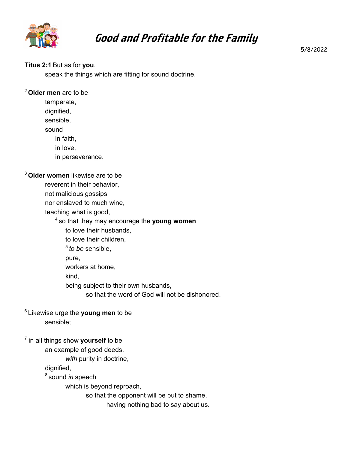

# **Good and Profitable for the Family**

5/8/2022

#### **Titus 2:1** But as for **you**,

speak the things which are fitting for sound doctrine.

#### <sup>2</sup>**Older men** are to be

temperate,

dignified,

sensible,

sound

in faith,

in love,

in perseverance.

#### <sup>3</sup>**Older women** likewise are to be

reverent in their behavior,

not malicious gossips

nor enslaved to much wine,

teaching what is good,

<sup>4</sup>so that they may encourage the **young women**

to love their husbands,

to love their children,

<sup>5</sup>*to be* sensible,

pure,

workers at home,

kind,

being subject to their own husbands,

so that the word of God will not be dishonored.

### <sup>6</sup>Likewise urge the **young men** to be sensible;

### 7 in all things show **yourself** to be

an example of good deeds,

*with* purity in doctrine,

dignified,

<sup>8</sup>sound *in* speech

which is beyond reproach,

so that the opponent will be put to shame,

having nothing bad to say about us.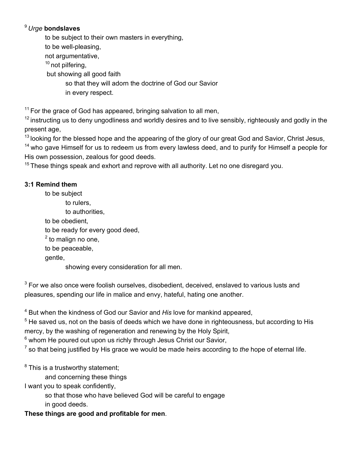## <sup>9</sup>*Urge* **bondslaves**

to be subject to their own masters in everything,

to be well-pleasing,

not argumentative,

 $10$  not pilfering,

but showing all good faith

so that they will adorn the doctrine of God our Savior

in every respect.

 $11$  For the grace of God has appeared, bringing salvation to all men,

 $12$  instructing us to deny ungodliness and worldly desires and to live sensibly, righteously and godly in the present age,

 $13$  looking for the blessed hope and the appearing of the glory of our great God and Savior, Christ Jesus,

<sup>14</sup> who gave Himself for us to redeem us from every lawless deed, and to purify for Himself a people for His own possession, zealous for good deeds.

 $15$  These things speak and exhort and reprove with all authority. Let no one disregard you.

# **3:1 Remind them**

to be subject to rulers, to authorities, to be obedient, to be ready for every good deed,  $^2$  to malign no one, to be peaceable, gentle, showing every consideration for all men.

 $^3$  For we also once were foolish ourselves, disobedient, deceived, enslaved to various lusts and pleasures, spending our life in malice and envy, hateful, hating one another.

4 But when the kindness of God our Savior and *His* love for mankind appeared,

 $^5$  He saved us, not on the basis of deeds which we have done in righteousness, but according to His $\,$ mercy, by the washing of regeneration and renewing by the Holy Spirit,

 $^6$  whom He poured out upon us richly through Jesus Christ our Savior,  $\,$ 

7 so that being justified by His grace we would be made heirs according to *the* hope of eternal life.

 $^8$  This is a trustworthy statement;

and concerning these things

I want you to speak confidently,

so that those who have believed God will be careful to engage

in good deeds.

**These things are good and profitable for men**.